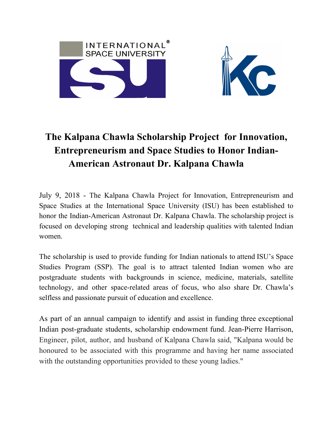



## **The Kalpana Chawla Scholarship Project for Innovation, Entrepreneurism and Space Studies to Honor Indian-American Astronaut Dr. Kalpana Chawla**

July 9, 2018 - The Kalpana Chawla Project for Innovation, Entrepreneurism and Space Studies at the International Space University (ISU) has been established to honor the Indian-American Astronaut Dr. Kalpana Chawla. The scholarship project is focused on developing strong technical and leadership qualities with talented Indian women.

The scholarship is used to provide funding for Indian nationals to attend ISU's Space Studies Program (SSP). The goal is to attract talented Indian women who are postgraduate students with backgrounds in science, medicine, materials, satellite technology, and other space-related areas of focus, who also share Dr. Chawla's selfless and passionate pursuit of education and excellence.

As part of an annual campaign to identify and assist in funding three exceptional Indian post-graduate students, scholarship endowment fund. Jean-Pierre Harrison, Engineer, pilot, author, and husband of Kalpana Chawla said, "Kalpana would be honoured to be associated with this programme and having her name associated with the outstanding opportunities provided to these young ladies."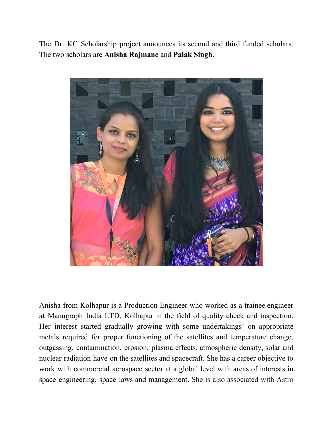The Dr. KC Scholarship project announces its second and third funded scholars. The two scholars are **Anisha Rajmane** and **Palak Singh.**



Anisha from Kolhapur is a Production Engineer who worked as a trainee engineer at Manugraph India LTD, Kolhapur in the field of quality check and inspection. Her interest started gradually growing with some undertakings' on appropriate metals required for proper functioning of the satellites and temperature change, outgassing, contamination, erosion, plasma effects, atmospheric density, solar and nuclear radiation have on the satellites and spacecraft. She has a career objective to work with commercial aerospace sector at a global level with areas of interests in space engineering, space laws and management. She is also associated with Astro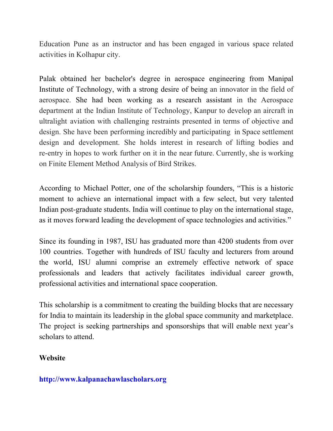Education Pune as an instructor and has been engaged in various space related activities in Kolhapur city.

Palak obtained her bachelor's degree in aerospace engineering from Manipal Institute of Technology, with a strong desire of being an innovator in the field of aerospace. She had been working as a research assistant in the Aerospace department at the Indian Institute of Technology, Kanpur to develop an aircraft in ultralight aviation with challenging restraints presented in terms of objective and design. She have been performing incredibly and participating in Space settlement design and development. She holds interest in research of lifting bodies and re-entry in hopes to work further on it in the near future. Currently, she is working on Finite Element Method Analysis of Bird Strikes.

According to Michael Potter, one of the scholarship founders, "This is a historic moment to achieve an international impact with a few select, but very talented Indian post-graduate students. India will continue to play on the international stage, as it moves forward leading the development of space technologies and activities."

Since its founding in 1987, ISU has graduated more than 4200 students from over 100 countries. Together with hundreds of ISU faculty and lecturers from around the world, ISU alumni comprise an extremely effective network of space professionals and leaders that actively facilitates individual career growth, professional activities and international space cooperation.

This scholarship is a commitment to creating the building blocks that are necessary for India to maintain its leadership in the global space community and marketplace. The project is seeking partnerships and sponsorships that will enable next year's scholars to attend.

## **Website**

## **http://www.kalpanachawlascholars.org**